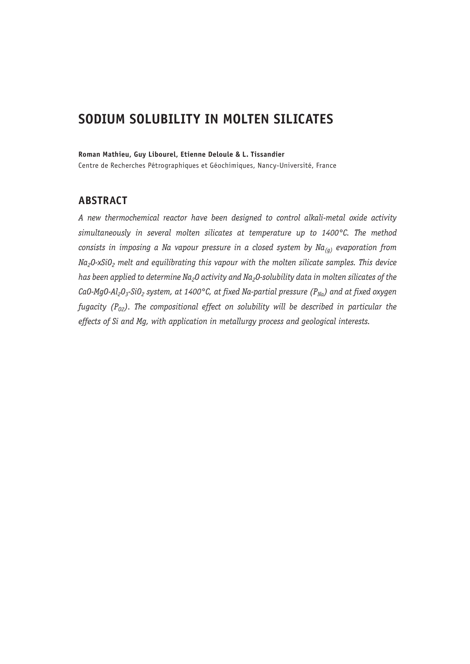# **SODIUM SOLUBILITY IN MOLTEN SILICATES**

#### **Roman Mathieu, Guy Libourel, Etienne Deloule & L. Tissandier**

Centre de Recherches Pétrographiques et Géochimiques, Nancy-Université, France

# **ABSTRACT**

*A new thermochemical reactor have been designed to control alkali-metal oxide activity simultaneously in several molten silicates at temperature up to 1400°C. The method consists in imposing a Na vapour pressure in a closed system by Na(g) evaporation from Na2O-xSiO2 melt and equilibrating this vapour with the molten silicate samples. This device*  has been applied to determine Na<sub>2</sub>O activity and Na<sub>2</sub>O-solubility data in molten silicates of the CaO-MgO-Al<sub>2</sub>O<sub>3</sub>-SiO<sub>2</sub> system, at 1400°C, at fixed Na-partial pressure (P<sub>Na</sub>) and at fixed oxygen *fugacity (P<sub>02</sub>). The compositional effect on solubility will be described in particular the effects of Si and Mg, with application in metallurgy process and geological interests.*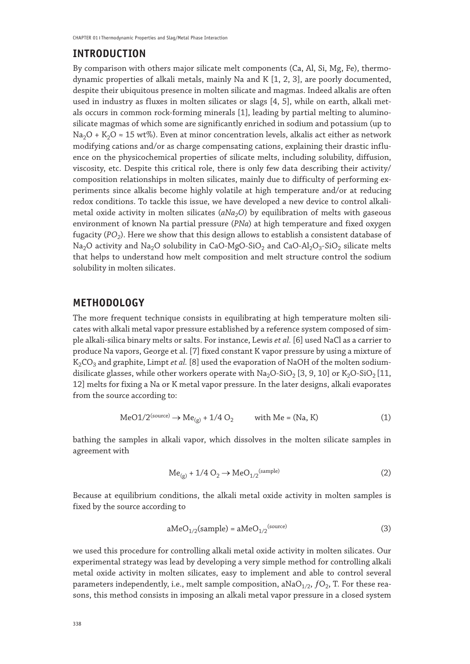### **INTRODUCTION**

By comparison with others major silicate melt components (Ca, Al, Si, Mg, Fe), thermodynamic properties of alkali metals, mainly Na and K [1, 2, 3], are poorly documented, despite their ubiquitous presence in molten silicate and magmas. Indeed alkalis are often used in industry as fluxes in molten silicates or slags [4, 5], while on earth, alkali metals occurs in common rock-forming minerals [1], leading by partial melting to aluminosilicate magmas of which some are significantly enriched in sodium and potassium (up to Na<sub>2</sub>O + K<sub>2</sub>O  $\approx$  15 wt%). Even at minor concentration levels, alkalis act either as network modifying cations and/or as charge compensating cations, explaining their drastic influence on the physicochemical properties of silicate melts, including solubility, diffusion, viscosity, etc. Despite this critical role, there is only few data describing their activity/ composition relationships in molten silicates, mainly due to difficulty of performing experiments since alkalis become highly volatile at high temperature and/or at reducing redox conditions. To tackle this issue, we have developed a new device to control alkalimetal oxide activity in molten silicates (aNa<sub>2</sub>O) by equilibration of melts with gaseous environment of known Na partial pressure (*PNa*) at high temperature and fixed oxygen fugacity (*PO<sub>2</sub>*). Here we show that this design allows to establish a consistent database of Na<sub>2</sub>O activity and Na<sub>2</sub>O solubility in CaO-MgO-SiO<sub>2</sub> and CaO-Al<sub>2</sub>O<sub>3</sub>-SiO<sub>2</sub> silicate melts that helps to understand how melt composition and melt structure control the sodium solubility in molten silicates.

### **METHODOLOGY**

The more frequent technique consists in equilibrating at high temperature molten silicates with alkali metal vapor pressure established by a reference system composed of simple alkali-silica binary melts or salts. For instance, Lewis *et al.* [6] used NaCl as a carrier to produce Na vapors, George et al. [7] fixed constant K vapor pressure by using a mixture of K<sub>2</sub>CO<sub>3</sub> and graphite, Limpt *et al.* [8] used the evaporation of NaOH of the molten sodiumdisilicate glasses, while other workers operate with  $Na<sub>2</sub>O-SiO<sub>2</sub> [3, 9, 10]$  or  $K<sub>2</sub>O-SiO<sub>2</sub> [11, 1]$ 12] melts for fixing a Na or K metal vapor pressure. In the later designs, alkali evaporates from the source according to:

$$
\text{MeO1}/2^{\text{(source)}} \to \text{Me}_{\text{(g)}} + 1/4 \text{ O}_2 \qquad \text{with Me} = (\text{Na}, \text{K}) \tag{1}
$$

bathing the samples in alkali vapor, which dissolves in the molten silicate samples in agreement with

$$
Me_{(g)} + 1/4 O_2 \rightarrow MeO_{1/2}^{\text{(sample)}}
$$
 (2)

Because at equilibrium conditions, the alkali metal oxide activity in molten samples is fixed by the source according to

$$
aMeO_{1/2}(sample) = aMeO_{1/2}^{(source)}
$$
\n(3)

we used this procedure for controlling alkali metal oxide activity in molten silicates. Our experimental strategy was lead by developing a very simple method for controlling alkali metal oxide activity in molten silicates, easy to implement and able to control several parameters independently, i.e., melt sample composition, aNa $O_{1/2}$ ,  $fO_2$ , T. For these reasons, this method consists in imposing an alkali metal vapor pressure in a closed system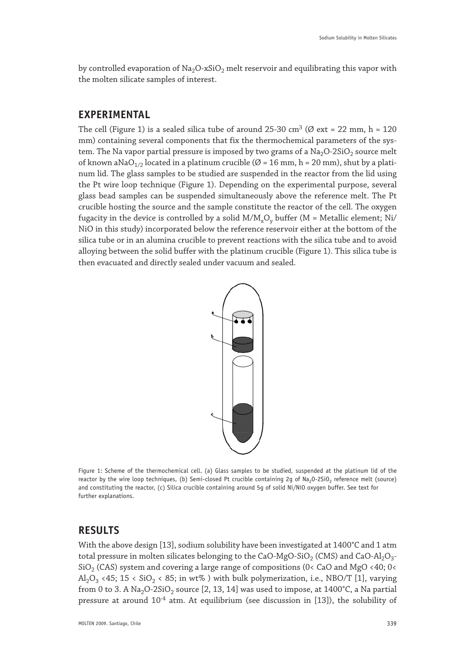by controlled evaporation of  $Na<sub>2</sub>O-xSiO<sub>2</sub>$  melt reservoir and equilibrating this vapor with the molten silicate samples of interest.

### **EXPERIMENTAL**

The cell (Figure 1) is a sealed silica tube of around 25-30 cm<sup>3</sup> ( $\varnothing$  ext = 22 mm, h  $\approx$  120 mm) containing several components that fix the thermochemical parameters of the system. The Na vapor partial pressure is imposed by two grams of a  $Na<sub>2</sub>O-2SiO<sub>2</sub>$  source melt of known aNaO<sub>1/2</sub> located in a platinum crucible ( $\varnothing$  = 16 mm, h = 20 mm), shut by a platinum lid. The glass samples to be studied are suspended in the reactor from the lid using the Pt wire loop technique (Figure 1). Depending on the experimental purpose, several glass bead samples can be suspended simultaneously above the reference melt. The Pt crucible hosting the source and the sample constitute the reactor of the cell. The oxygen fugacity in the device is controlled by a solid  $M/M<sub>x</sub>O<sub>y</sub>$  buffer (M = Metallic element; Ni/ NiO in this study) incorporated below the reference reservoir either at the bottom of the silica tube or in an alumina crucible to prevent reactions with the silica tube and to avoid alloying between the solid buffer with the platinum crucible (Figure 1). This silica tube is then evacuated and directly sealed under vacuum and sealed.



Figure 1: Scheme of the thermochemical cell. (a) Glass samples to be studied, suspended at the platinum lid of the reactor by the wire loop techniques, (b) Semi-closed Pt crucible containing 2g of Na<sub>2</sub>O-2SiO<sub>2</sub> reference melt (source) and constituting the reactor, (c) Silica crucible containing around 5g of solid Ni/NiO oxygen buffer. See text for further explanations.

### **RESULTS**

With the above design [13], sodium solubility have been investigated at 1400°C and 1 atm total pressure in molten silicates belonging to the CaO-MgO-SiO<sub>2</sub> (CMS) and CaO-Al<sub>2</sub>O<sub>3</sub>- $SiO<sub>2</sub>$  (CAS) system and covering a large range of compositions (0< CaO and MgO <40; 0< Al<sub>2</sub>O<sub>3</sub> <45; 15 < SiO<sub>2</sub> < 85; in wt% ) with bulk polymerization, i.e., NBO/T [1], varying from 0 to 3. A Na<sub>2</sub>O-2SiO<sub>2</sub> source [2, 13, 14] was used to impose, at  $1400^{\circ}$ C, a Na partial pressure at around  $10^{-4}$  atm. At equilibrium (see discussion in [13]), the solubility of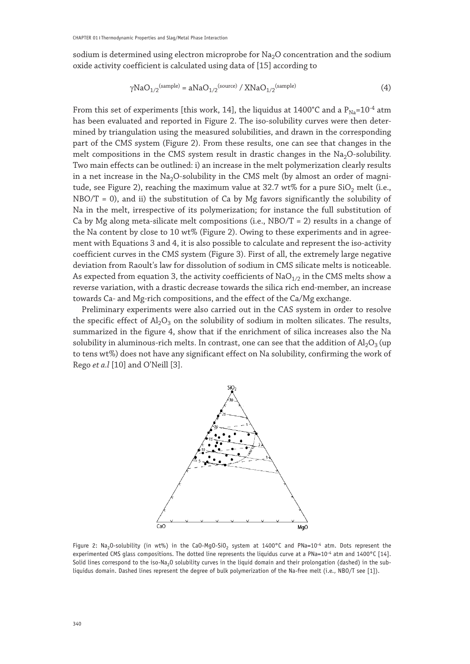sodium is determined using electron microprobe for  $Na<sub>2</sub>O$  concentration and the sodium oxide activity coefficient is calculated using data of [15] according to

$$
\gamma \text{NaO}_{1/2}^{\text{(sample)}} = a\text{NaO}_{1/2}^{\text{(source)}} / \text{XNaO}_{1/2}^{\text{(sample)}} \tag{4}
$$

From this set of experiments [this work, 14], the liquidus at 1400°C and a  $P_{Na}=10^{-4}$  atm has been evaluated and reported in Figure 2. The iso-solubility curves were then determined by triangulation using the measured solubilities, and drawn in the corresponding part of the CMS system (Figure 2). From these results, one can see that changes in the melt compositions in the CMS system result in drastic changes in the  $Na<sub>2</sub>O$ -solubility. Two main effects can be outlined: i) an increase in the melt polymerization clearly results in a net increase in the  $Na<sub>2</sub>O-solubility$  in the CMS melt (by almost an order of magnitude, see Figure 2), reaching the maximum value at 32.7 wt% for a pure  $SiO<sub>2</sub>$  melt (i.e.,  $NBO/T = 0$ , and ii) the substitution of Ca by Mg favors significantly the solubility of Na in the melt, irrespective of its polymerization; for instance the full substitution of Ca by Mg along meta-silicate melt compositions (i.e.,  $NBO/T = 2$ ) results in a change of the Na content by close to 10 wt% (Figure 2). Owing to these experiments and in agreement with Equations 3 and 4, it is also possible to calculate and represent the iso-activity coefficient curves in the CMS system (Figure 3). First of all, the extremely large negative deviation from Raoult's law for dissolution of sodium in CMS silicate melts is noticeable. As expected from equation 3, the activity coefficients of  $NaO<sub>1/2</sub>$  in the CMS melts show a reverse variation, with a drastic decrease towards the silica rich end-member, an increase towards Ca- and Mg-rich compositions, and the effect of the Ca/Mg exchange.

Preliminary experiments were also carried out in the CAS system in order to resolve the specific effect of  $A_1O_3$  on the solubility of sodium in molten silicates. The results, summarized in the figure 4, show that if the enrichment of silica increases also the Na solubility in aluminous-rich melts. In contrast, one can see that the addition of  $A<sub>1</sub>O<sub>3</sub>$  (up to tens wt%) does not have any significant effect on Na solubility, confirming the work of Rego *et a.l* [10] and O'Neill [3].



Figure 2: Na<sub>2</sub>O-solubility (in wt%) in the CaO-MgO-SiO<sub>2</sub> system at  $1400^{\circ}$ C and PNa=10<sup>-4</sup> atm. Dots represent the experimented CMS glass compositions. The dotted line represents the liquidus curve at a PNa=10<sup>-4</sup> atm and 1400°C [14]. Solid lines correspond to the iso-Na<sub>2</sub>O solubility curves in the liquid domain and their prolongation (dashed) in the subliquidus domain. Dashed lines represent the degree of bulk polymerization of the Na-free melt (i.e., NBO/T see [1]).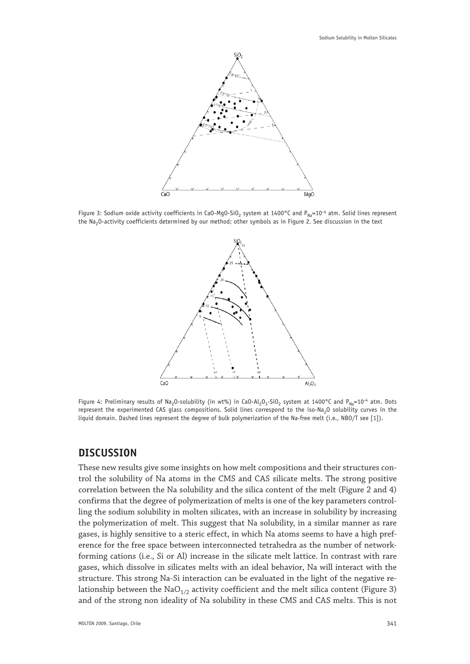

Figure 3: Sodium oxide activity coefficients in CaO-MgO-SiO<sub>2</sub> system at 1400°C and P<sub>Na</sub>=10<sup>-4</sup> atm. Solid lines represent the Na<sub>2</sub>O-activity coefficients determined by our method; other symbols as in Figure 2. See discussion in the text



Figure 4: Preliminary results of Na<sub>2</sub>O-solubility (in wt%) in CaO-Al<sub>2</sub>O<sub>3</sub>-SiO<sub>2</sub> system at 1400°C and P<sub>Na</sub>=10<sup>-4</sup> atm. Dots represent the experimented CAS glass compositions. Solid lines correspond to the iso-Na<sub>2</sub>O solubility curves in the liquid domain. Dashed lines represent the degree of bulk polymerization of the Na-free melt (i.e., NBO/T see [1]).

#### **DISCUSSION**

These new results give some insights on how melt compositions and their structures control the solubility of Na atoms in the CMS and CAS silicate melts. The strong positive correlation between the Na solubility and the silica content of the melt (Figure 2 and 4) confirms that the degree of polymerization of melts is one of the key parameters controlling the sodium solubility in molten silicates, with an increase in solubility by increasing the polymerization of melt. This suggest that Na solubility, in a similar manner as rare gases, is highly sensitive to a steric effect, in which Na atoms seems to have a high preference for the free space between interconnected tetrahedra as the number of networkforming cations (i.e., Si or Al) increase in the silicate melt lattice. In contrast with rare gases, which dissolve in silicates melts with an ideal behavior, Na will interact with the structure. This strong Na-Si interaction can be evaluated in the light of the negative relationship between the  $NaO<sub>1/2</sub>$  activity coefficient and the melt silica content (Figure 3) and of the strong non ideality of Na solubility in these CMS and CAS melts. This is not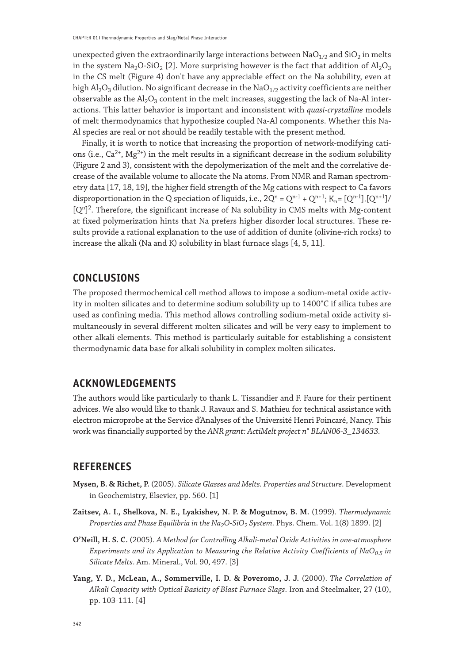unexpected given the extraordinarily large interactions between  $NaO<sub>1/2</sub>$  and  $SiO<sub>2</sub>$  in melts in the system  $\text{Na}_2\text{O-SiO}_2$  [2]. More surprising however is the fact that addition of  $\text{Al}_2\text{O}_3$ in the CS melt (Figure 4) don't have any appreciable effect on the Na solubility, even at high  $\text{Al}_2\text{O}_3$  dilution. No significant decrease in the Na $\text{O}_{1/2}$  activity coefficients are neither observable as the  $Al_2O_3$  content in the melt increases, suggesting the lack of Na-Al interactions. This latter behavior is important and inconsistent with *quasi-crystalline* models of melt thermodynamics that hypothesize coupled Na-Al components. Whether this Na-Al species are real or not should be readily testable with the present method.

Finally, it is worth to notice that increasing the proportion of network-modifying cations (i.e.,  $Ca^{2+}$ ,  $Mg^{2+}$ ) in the melt results in a significant decrease in the sodium solubility (Figure 2 and 3), consistent with the depolymerization of the melt and the correlative decrease of the available volume to allocate the Na atoms. From NMR and Raman spectrometry data [17, 18, 19], the higher field strength of the Mg cations with respect to Ca favors disproportionation in the Q speciation of liquids, i.e.,  $2Q^n = Q^{n-1} + Q^{n+1}$ ;  $K_n = [Q^{n-1}][Q^{n+1}]$  $[Q<sup>n</sup>]$ <sup>2</sup>. Therefore, the significant increase of Na solubility in CMS melts with Mg-content at fixed polymerization hints that Na prefers higher disorder local structures. These results provide a rational explanation to the use of addition of dunite (olivine-rich rocks) to increase the alkali (Na and K) solubility in blast furnace slags [4, 5, 11].

## **CONCLUSIONS**

The proposed thermochemical cell method allows to impose a sodium-metal oxide activity in molten silicates and to determine sodium solubility up to 1400°C if silica tubes are used as confining media. This method allows controlling sodium-metal oxide activity simultaneously in several different molten silicates and will be very easy to implement to other alkali elements. This method is particularly suitable for establishing a consistent thermodynamic data base for alkali solubility in complex molten silicates.

#### **ACKNOWLEDGEMENTS**

The authors would like particularly to thank L. Tissandier and F. Faure for their pertinent advices. We also would like to thank J. Ravaux and S. Mathieu for technical assistance with electron microprobe at the Service d'Analyses of the Université Henri Poincaré, Nancy. This work was financially supported by the *ANR grant: ActiMelt project n° BLAN06-3\_134633.*

#### **REFERENCES**

- **Mysen, B. & Richet, P.** (2005). *Silicate Glasses and Melts. Properties and Structure*. Development in Geochemistry, Elsevier, pp. 560. [1]
- **Zaitsev, A. I., Shelkova, N. E., Lyakishev, N. P. & Mogutnov, B. M.** (1999). *Thermodynamic Properties and Phase Equilibria in the Na<sub>2</sub>O-SiO<sub>2</sub> System. Phys. Chem. Vol. 1(8) 1899. [2]*
- **O'Neill, H. S. C.** (2005). *A Method for Controlling Alkali-metal Oxide Activities in one-atmosphere Experiments and its Application to Measuring the Relative Activity Coefficients of NaO*<sub>0.5</sub> in *Silicate Melts*. Am. Mineral., Vol. 90, 497. [3]
- **Yang, Y. D., McLean, A., Sommerville, I. D. & Poveromo, J. J.** (2000). *The Correlation of Alkali Capacity with Optical Basicity of Blast Furnace Slags*. Iron and Steelmaker, 27 (10), pp. 103-111. [4]